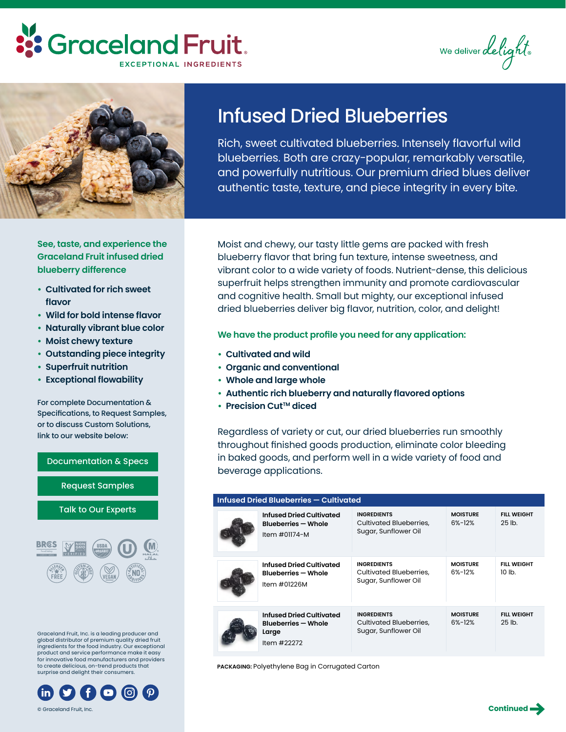## **::** Graceland Fruit. EXCEPTIONAL INGREDIENTS

We deliver delight



### **See, taste, and experience the Graceland Fruit infused dried blueberry difference**

- **• Cultivated for rich sweet flavor**
- **• Wild for bold intense flavor**
- **• Naturally vibrant blue color**
- **• Moist chewy texture**
- **• Outstanding piece integrity**
- **• Superfruit nutrition**
- **• Exceptional flowability**

For complete Documentation & Specifications, to Request Samples, or to discuss Custom Solutions, link to our website below:

# [Documentation & Specs](https://www.gracelandfruit.com/products/infused-dried-fruit-ingredients/blueberries/) [Request Samples](https://www.gracelandfruit.com/contact-us/sample-request/) [Talk to Our Experts](https://www.gracelandfruit.com/talk-to-experts/)

Graceland Fruit, Inc. is a leading producer and global distributor of premium quality dried fruit ingredients for the food industry. Our exceptional product and service performance make it easy for innovative food manufacturers and providers to create delicious, on-trend products that surprise and delight their consumers.



## Infused Dried Blueberries

Rich, sweet cultivated blueberries. Intensely flavorful wild blueberries. Both are crazy-popular, remarkably versatile, and powerfully nutritious. Our premium dried blues deliver authentic taste, texture, and piece integrity in every bite.

Moist and chewy, our tasty little gems are packed with fresh blueberry flavor that bring fun texture, intense sweetness, and vibrant color to a wide variety of foods. Nutrient-dense, this delicious superfruit helps strengthen immunity and promote cardiovascular and cognitive health. Small but mighty, our exceptional infused dried blueberries deliver big flavor, nutrition, color, and delight!

#### **We have the product profile you need for any application:**

- **• Cultivated and wild**
- **• Organic and conventional**
- **• Whole and large whole**
- **• Authentic rich blueberry and naturally flavored options**
- **• Precision CutTM diced**

Regardless of variety or cut, our dried blueberries run smoothly throughout finished goods production, eliminate color bleeding in baked goods, and perform well in a wide variety of food and beverage applications.

| Infused Dried Blueberries - Cultivated |                                                                                |                                                                              |                                 |                                        |  |  |  |  |
|----------------------------------------|--------------------------------------------------------------------------------|------------------------------------------------------------------------------|---------------------------------|----------------------------------------|--|--|--|--|
|                                        | Infused Dried Cultivated<br><b>Blueberries - Whole</b><br>Item #01174-M        | <b>INGREDIENTS</b><br>Cultivated Blueberries,<br>Sugar, Sunflower Oil        | <b>MOISTURF</b><br>$6\% - 12\%$ | <b>FIII WFIGHT</b><br>$25$ lb.         |  |  |  |  |
|                                        | Infused Dried Cultivated<br><b>Blueberries - Whole</b><br>Item #01226M         | <b>INGREDIENTS</b><br><b>Cultivated Blueberries,</b><br>Sugar, Sunflower Oil | <b>MOISTURE</b><br>$6% - 12%$   | <b>FILL WEIGHT</b><br>10 lb.           |  |  |  |  |
|                                        | Infused Dried Cultivated<br><b>Blueberries - Whole</b><br>Large<br>Item #22272 | <b>INGREDIENTS</b><br>Cultivated Blueberries,<br>Sugar, Sunflower Oil        | <b>MOISTURE</b><br>$6% - 12%$   | <b>FILL WEIGHT</b><br>25 <sub>th</sub> |  |  |  |  |

**PACKAGING:** Polyethylene Bag in Corrugated Carton